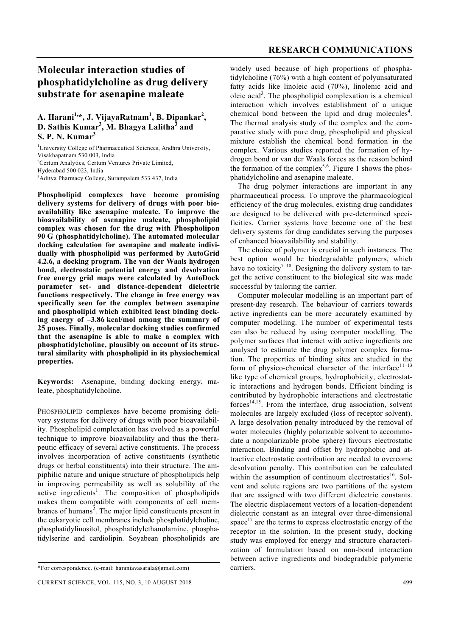## **Molecular interaction studies of phosphatidylcholine as drug delivery substrate for asenapine maleate**

### **A. Harani1,\*, J. VijayaRatnam1 , B. Dipankar<sup>2</sup> , D. Sathis Kumar<sup>3</sup> , M. Bhagya Lalitha<sup>3</sup> and S. P. N. Kumar<sup>3</sup>**

<sup>1</sup>University College of Pharmaceutical Sciences, Andhra University, Visakhapatnam 530 003, India 2 Certum Analytics, Certum Ventures Private Limited, Hyderabad 500 023, India 3 Aditya Pharmacy College, Surampalem 533 437, India

**Phospholipid complexes have become promising delivery systems for delivery of drugs with poor bioavailability like asenapine maleate. To improve the bioavailability of asenapine maleate, phospholipid complex was chosen for the drug with Phospholipon 90 G (phosphatidylcholine). The automated molecular docking calculation for asenapine and maleate individually with phospholipid was performed by AutoGrid 4.2.6, a docking program. The van der Waals hydrogen bond, electrostatic potential energy and desolvation free energy grid maps were calculated by AutoDock parameter set- and distance-dependent dielectric functions respectively. The change in free energy was specifically seen for the complex between asenapine and phospholipid which exhibited least binding docking energy of –3.86 kcal/mol among the summary of 25 poses. Finally, molecular docking studies confirmed that the asenapine is able to make a complex with phosphatidylcholine, plausibly on account of its structural similarity with phospholipid in its physiochemical properties.** 

**Keywords:** Asenapine, binding docking energy, maleate, phosphatidylcholine.

PHOSPHOLIPID complexes have become promising delivery systems for delivery of drugs with poor bioavailability. Phospholipid complexation has evolved as a powerful technique to improve bioavailability and thus the therapeutic efficacy of several active constituents. The process involves incorporation of active constituents (synthetic drugs or herbal constituents) into their structure. The ampiphilic nature and unique structure of phospholipids help in improving permeability as well as solubility of the active ingredients<sup>1</sup>. The composition of phospholipids makes them compatible with components of cell membranes of humans<sup>2</sup>. The major lipid constituents present in the eukaryotic cell membranes include phosphatidylcholine, phosphatidylinositol, phosphatidylethanolamine, phosphatidylserine and cardiolipin. Soyabean phospholipids are

widely used because of high proportions of phosphatidylcholine (76%) with a high content of polyunsaturated fatty acids like linoleic acid (70%), linolenic acid and oleic acid<sup>3</sup>. The phospholipid complexation is a chemical interaction which involves establishment of a unique chemical bond between the lipid and drug molecules<sup>4</sup>. The thermal analysis study of the complex and the comparative study with pure drug, phospholipid and physical mixture establish the chemical bond formation in the complex. Various studies reported the formation of hydrogen bond or van der Waals forces as the reason behind the formation of the complex<sup>5,6</sup>. Figure 1 shows the phosphatidylcholine and asenapine maleate.

 The drug polymer interactions are important in any pharmaceutical process. To improve the pharmacological efficiency of the drug molecules, existing drug candidates are designed to be delivered with pre-determined specificities. Carrier systems have become one of the best delivery systems for drug candidates serving the purposes of enhanced bioavailability and stability.

 The choice of polymer is crucial in such instances. The best option would be biodegradable polymers, which have no toxicity $7^{-10}$ . Designing the delivery system to target the active constituent to the biological site was made successful by tailoring the carrier.

 Computer molecular modelling is an important part of present-day research. The behaviour of carriers towards active ingredients can be more accurately examined by computer modelling. The number of experimental tests can also be reduced by using computer modelling. The polymer surfaces that interact with active ingredients are analysed to estimate the drug polymer complex formation. The properties of binding sites are studied in the form of physico-chemical character of the interface<sup>11-13</sup> like type of chemical groups, hydrophobicity, electrostatic interactions and hydrogen bonds. Efficient binding is contributed by hydrophobic interactions and electrostatic forces<sup>14,15</sup>. From the interface, drug association, solvent molecules are largely excluded (loss of receptor solvent). A large desolvation penalty introduced by the removal of water molecules (highly polarizable solvent to accommodate a nonpolarizable probe sphere) favours electrostatic interaction. Binding and offset by hydrophobic and attractive electrostatic contribution are needed to overcome desolvation penalty. This contribution can be calculated within the assumption of continuum electrostatics<sup>16</sup>. Solvent and solute regions are two partitions of the system that are assigned with two different dielectric constants. The electric displacement vectors of a location-dependent dielectric constant as an integral over three-dimensional space<sup>17</sup> are the terms to express electrostatic energy of the receptor in the solution. In the present study, docking study was employed for energy and structure characterization of formulation based on non-bond interaction between active ingredients and biodegradable polymeric carriers.

<sup>\*</sup>For correspondence. (e-mail: haraniavasarala@gmail.com)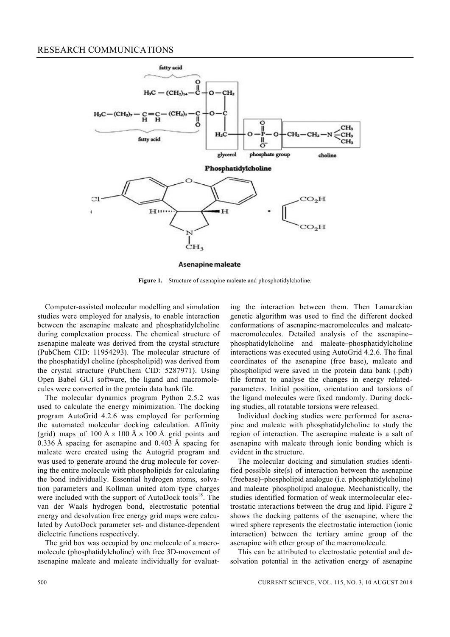

Asenapine maleate

**Figure 1.** Structure of asenapine maleate and phosphotidylcholine.

 Computer-assisted molecular modelling and simulation studies were employed for analysis, to enable interaction between the asenapine maleate and phosphatidylcholine during complexation process. The chemical structure of asenapine maleate was derived from the crystal structure (PubChem CID: 11954293). The molecular structure of the phosphatidyl choline (phospholipid) was derived from the crystal structure (PubChem CID: 5287971). Using Open Babel GUI software, the ligand and macromolecules were converted in the protein data bank file.

 The molecular dynamics program Python 2.5.2 was used to calculate the energy minimization. The docking program AutoGrid 4.2.6 was employed for performing the automated molecular docking calculation. Affinity (grid) maps of  $100 \text{ Å} \times 100 \text{ Å} \times 100 \text{ Å}$  grid points and 0.336 Å spacing for asenapine and 0.403 Å spacing for maleate were created using the Autogrid program and was used to generate around the drug molecule for covering the entire molecule with phospholipids for calculating the bond individually. Essential hydrogen atoms, solvation parameters and Kollman united atom type charges were included with the support of AutoDock tools<sup>18</sup>. The van der Waals hydrogen bond, electrostatic potential energy and desolvation free energy grid maps were calculated by AutoDock parameter set- and distance-dependent dielectric functions respectively.

 The grid box was occupied by one molecule of a macromolecule (phosphatidylcholine) with free 3D-movement of asenapine maleate and maleate individually for evaluating the interaction between them. Then Lamarckian genetic algorithm was used to find the different docked conformations of asenapine-macromolecules and maleatemacromolecules. Detailed analysis of the asenapine– phosphatidylcholine and maleate–phosphatidylcholine interactions was executed using AutoGrid 4.2.6. The final coordinates of the asenapine (free base), maleate and phospholipid were saved in the protein data bank (.pdb) file format to analyse the changes in energy relatedparameters. Initial position, orientation and torsions of the ligand molecules were fixed randomly. During docking studies, all rotatable torsions were released.

 Individual docking studies were performed for asenapine and maleate with phosphatidylcholine to study the region of interaction. The asenapine maleate is a salt of asenapine with maleate through ionic bonding which is evident in the structure.

 The molecular docking and simulation studies identified possible site(s) of interaction between the asenapine (freebase)–phospholipid analogue (i.e. phosphatidylcholine) and maleate–phospholipid analogue. Mechanistically, the studies identified formation of weak intermolecular electrostatic interactions between the drug and lipid. Figure 2 shows the docking patterns of the asenapine, where the wired sphere represents the electrostatic interaction (ionic interaction) between the tertiary amine group of the asenapine with ether group of the macromolecule.

 This can be attributed to electrostatic potential and desolvation potential in the activation energy of asenapine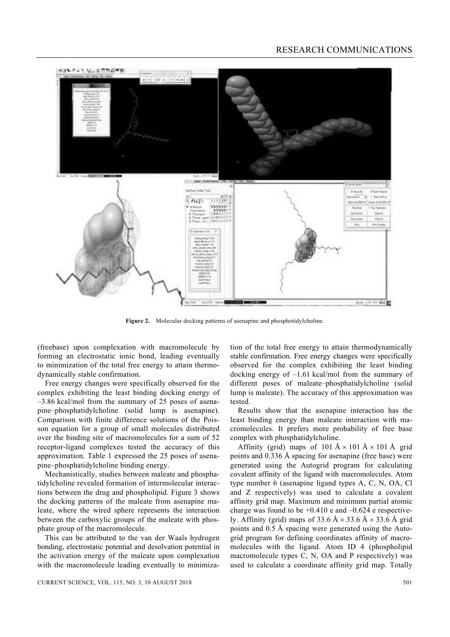

**Figure 2.** Molecular docking patterns of asenapine and phosphotidylcholine.

(freebase) upon complexation with macromolecule by forming an electrostatic ionic bond, leading eventually to minimization of the total free energy to attain thermodynamically stable confirmation.

 Free energy changes were specifically observed for the complex exhibiting the least binding docking energy of –3.86 kcal/mol from the summary of 25 poses of asenapine–phosphatidylcholine (solid lump is asenapine). Comparison with finite difference solutions of the Poisson equation for a group of small molecules distributed over the binding site of macromolecules for a sum of 52 receptor-ligand complexes tested the accuracy of this approximation. Table 1 expressed the 25 poses of asenapine–phosphatidylcholine binding energy.

 Mechanistically, studies between maleate and phosphatidylcholine revealed formation of intermolecular interactions between the drug and phospholipid. Figure 3 shows the docking patterns of the maleate from asenapine maleate, where the wired sphere represents the interaction between the carboxylic groups of the maleate with phosphate group of the macromolecule.

 This can be attributed to the van der Waals hydrogen bonding, electrostatic potential and desolvation potential in the activation energy of the maleate upon complexation with the macromolecule leading eventually to minimiza-

lump is maleate). The accuracy of this approximation was tested. Results show that the asenapine interaction has the least binding energy than maleate interaction with macromolecules. It prefers more probability of free base complex with phosphatidylcholine.

Affinity (grid) maps of 101 Å  $\times$  101 Å  $\times$  101 Å grid points and 0.336 Å spacing for asenapine (free base) were generated using the Autogrid program for calculating covalent affinity of the ligand with macromolecules. Atom type number 6 (asenapine ligand types A, C, N, OA, Cl and Z respectively) was used to calculate a covalent affinity grid map. Maximum and minimum partial atomic charge was found to be  $+0.410$  e and  $-0.624$  e respectively. Affinity (grid) maps of 33.6 Å  $\times$  33.6 Å  $\times$  33.6 Å grid points and 0.5 Å spacing were generated using the Autogrid program for defining coordinates affinity of macromolecules with the ligand. Atom ID 4 (phospholipid macromolecule types C, N, OA and P respectively) was used to calculate a coordinate affinity grid map. Totally

tion of the total free energy to attain thermodynamically stable confirmation. Free energy changes were specifically observed for the complex exhibiting the least binding docking energy of –1.61 kcal/mol from the summary of different poses of maleate–phosphatidylcholine (solid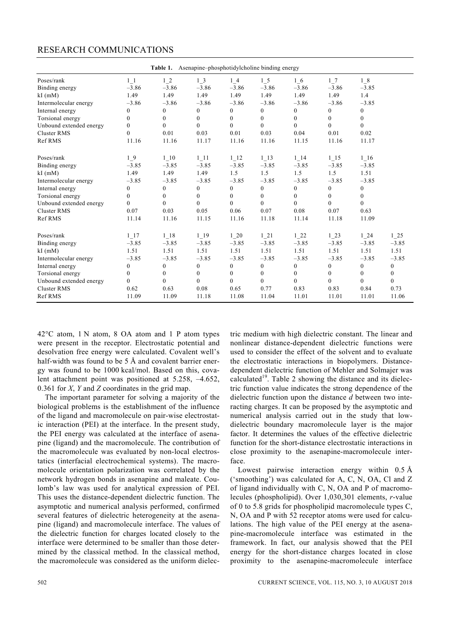| <b>Table 1.</b> Asenapine-phosphotidylcholine binding energy |                  |                  |                     |                  |              |                |                  |                  |              |
|--------------------------------------------------------------|------------------|------------------|---------------------|------------------|--------------|----------------|------------------|------------------|--------------|
| Poses/rank                                                   | $1\quad1$        | $1_{2}$          | $1_{\overline{-}}3$ | $1_4$            | $1\,5$       | $1\,6$         | 17               | 1 8              |              |
| Binding energy                                               | $-3.86$          | $-3.86$          | $-3.86$             | $-3.86$          | $-3.86$      | $-3.86$        | $-3.86$          | $-3.85$          |              |
| $kI$ (mM)                                                    | 1.49             | 1.49             | 1.49                | 1.49             | 1.49         | 1.49           | 1.49             | 1.4              |              |
| Intermolecular energy                                        | $-3.86$          | $-3.86$          | $-3.86$             | $-3.86$          | $-3.86$      | $-3.86$        | $-3.86$          | $-3.85$          |              |
| Internal energy                                              | $\mathbf{0}$     | $\mathbf{0}$     | $\overline{0}$      | $\mathbf{0}$     | $\mathbf{0}$ | $\mathbf{0}$   | $\boldsymbol{0}$ | $\mathbf{0}$     |              |
| Torsional energy                                             | $\boldsymbol{0}$ | $\boldsymbol{0}$ | $\boldsymbol{0}$    | $\boldsymbol{0}$ | $\mathbf{0}$ | $\mathbf{0}$   | $\boldsymbol{0}$ | $\boldsymbol{0}$ |              |
| Unbound extended energy                                      | $\mathbf{0}$     | $\theta$         | $\Omega$            | $\theta$         | $\Omega$     | $\theta$       | $\theta$         | $\theta$         |              |
| <b>Cluster RMS</b>                                           | $\theta$         | 0.01             | 0.03                | 0.01             | 0.03         | 0.04           | 0.01             | 0.02             |              |
| Ref RMS                                                      | 11.16            | 11.16            | 11.17               | 11.16            | 11.16        | 11.15          | 11.16            | 11.17            |              |
| Poses/rank                                                   | $1_{9}$          | $1\quad10$       | $1\;11$             | $1_{12}$         | 1 13         | $1 \; 14$      | $1\,15$          | 1 16             |              |
| Binding energy                                               | $-3.85$          | $-3.85$          | $-3.85$             | $-3.85$          | $-3.85$      | $-3.85$        | $-3.85$          | $-3.85$          |              |
| $kI$ (mM)                                                    | 1.49             | 1.49             | 1.49                | 1.5              | 1.5          | 1.5            | 1.5              | 1.51             |              |
| Intermolecular energy                                        | $-3.85$          | $-3.85$          | $-3.85$             | $-3.85$          | $-3.85$      | $-3.85$        | $-3.85$          | $-3.85$          |              |
| Internal energy                                              | $\mathbf{0}$     | $\mathbf{0}$     | $\overline{0}$      | $\Omega$         | $\theta$     | $\mathbf{0}$   | $\mathbf{0}$     | $\mathbf{0}$     |              |
| Torsional energy                                             | $\boldsymbol{0}$ | $\mathbf{0}$     | $\overline{0}$      | $\mathbf{0}$     | $\mathbf{0}$ | $\overline{0}$ | $\boldsymbol{0}$ | $\mathbf{0}$     |              |
| Unbound extended energy                                      | $\mathbf{0}$     | $\overline{0}$   | $\Omega$            | $\mathbf{0}$     | $\theta$     | $\theta$       | $\overline{0}$   | $\overline{0}$   |              |
| <b>Cluster RMS</b>                                           | 0.07             | 0.03             | 0.05                | 0.06             | 0.07         | 0.08           | 0.07             | 0.63             |              |
| Ref RMS                                                      | 11.14            | 11.16            | 11.15               | 11.16            | 11.18        | 11.14          | 11.18            | 11.09            |              |
| Poses/rank                                                   | $1 \t17$         | 1 18             | 1 19                | $1\,20$          | 121          | $1_{22}$       | 1 2 3            | 124              | 125          |
| Binding energy                                               | $-3.85$          | $-3.85$          | $-3.85$             | $-3.85$          | $-3.85$      | $-3.85$        | $-3.85$          | $-3.85$          | $-3.85$      |
| $kI$ (mM)                                                    | 1.51             | 1.51             | 1.51                | 1.51             | 1.51         | 1.51           | 1.51             | 1.51             | 1.51         |
| Intermolecular energy                                        | $-3.85$          | $-3.85$          | $-3.85$             | $-3.85$          | $-3.85$      | $-3.85$        | $-3.85$          | $-3.85$          | $-3.85$      |
| Internal energy                                              | $\mathbf{0}$     | $\mathbf{0}$     | $\overline{0}$      | $\mathbf{0}$     | $\theta$     | $\mathbf{0}$   | $\mathbf{0}$     | $\mathbf{0}$     | $\mathbf{0}$ |
| Torsional energy                                             | $\mathbf{0}$     | $\mathbf{0}$     | $\mathbf{0}$        | $\Omega$         | $\Omega$     | $\theta$       | $\mathbf{0}$     | $\theta$         | $\mathbf{0}$ |
| Unbound extended energy                                      | $\mathbf{0}$     | $\theta$         | $\theta$            | $\theta$         | $\theta$     | $\theta$       | $\overline{0}$   | $\Omega$         | $\theta$     |
| <b>Cluster RMS</b>                                           | 0.62             | 0.63             | 0.08                | 0.65             | 0.77         | 0.83           | 0.83             | 0.84             | 0.73         |
| Ref RMS                                                      | 11.09            | 11.09            | 11.18               | 11.08            | 11.04        | 11.01          | 11.01            | 11.01            | 11.06        |

42°C atom, 1 N atom, 8 OA atom and 1 P atom types were present in the receptor. Electrostatic potential and desolvation free energy were calculated. Covalent well's half-width was found to be 5 Å and covalent barrier energy was found to be 1000 kcal/mol. Based on this, covalent attachment point was positioned at 5.258, –4.652, 0.361 for *X*, *Y* and *Z* coordinates in the grid map.

 The important parameter for solving a majority of the biological problems is the establishment of the influence of the ligand and macromolecule on pair-wise electrostatic interaction (PEI) at the interface. In the present study, the PEI energy was calculated at the interface of asenapine (ligand) and the macromolecule. The contribution of the macromolecule was evaluated by non-local electrostatics (interfacial electrochemical systems). The macromolecule orientation polarization was correlated by the network hydrogen bonds in asenapine and maleate. Coulomb's law was used for analytical expression of PEI. This uses the distance-dependent dielectric function. The asymptotic and numerical analysis performed, confirmed several features of dielectric heterogeneity at the asenapine (ligand) and macromolecule interface. The values of the dielectric function for charges located closely to the interface were determined to be smaller than those determined by the classical method. In the classical method, the macromolecule was considered as the uniform dielectric medium with high dielectric constant. The linear and nonlinear distance-dependent dielectric functions were used to consider the effect of the solvent and to evaluate the electrostatic interactions in biopolymers. Distancedependent dielectric function of Mehler and Solmajer was calculated<sup>19</sup>. Table 2 showing the distance and its dielectric function value indicates the strong dependence of the dielectric function upon the distance *d* between two interacting charges. It can be proposed by the asymptotic and numerical analysis carried out in the study that lowdielectric boundary macromolecule layer is the major factor. It determines the values of the effective dielectric function for the short-distance electrostatic interactions in close proximity to the asenapine-macromolecule interface.

 Lowest pairwise interaction energy within 0.5 Å ('smoothing') was calculated for A, C, N, OA, Cl and Z of ligand individually with C, N, OA and P of macromolecules (phospholipid). Over 1,030,301 elements, *r*-value of 0 to 5.8 grids for phospholipid macromolecule types C, N, OA and P with 52 receptor atoms were used for calculations. The high value of the PEI energy at the asenapine-macromolecule interface was estimated in the framework. In fact, our analysis showed that the PEI energy for the short-distance charges located in close proximity to the asenapine-macromolecule interface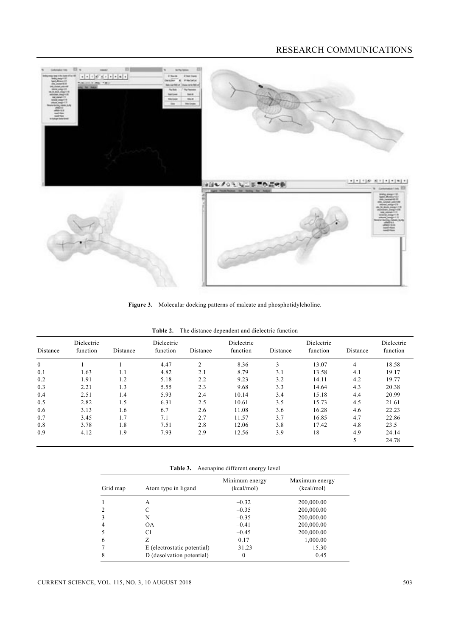

**Figure 3.** Molecular docking patterns of maleate and phosphotidylcholine.

|  | <b>Table 2.</b> The distance dependent and dielectric function |
|--|----------------------------------------------------------------|
|  |                                                                |

|              | Dielectric |          | Dielectric |                | Dielectric |          | Dielectric |          | Dielectric |
|--------------|------------|----------|------------|----------------|------------|----------|------------|----------|------------|
| Distance     | function   | Distance | function   | Distance       | function   | Distance | function   | Distance | function   |
| $\mathbf{0}$ |            |          | 4.47       | $\overline{2}$ | 8.36       | 3        | 13.07      | 4        | 18.58      |
| 0.1          | 1.63       | 1.1      | 4.82       | 2.1            | 8.79       | 3.1      | 13.58      | 4.1      | 19.17      |
| 0.2          | 1.91       | 1.2      | 5.18       | 2.2            | 9.23       | 3.2      | 14.11      | 4.2      | 19.77      |
| 0.3          | 2.21       | 1.3      | 5.55       | 2.3            | 9.68       | 3.3      | 14.64      | 4.3      | 20.38      |
| 0.4          | 2.51       | 1.4      | 5.93       | 2.4            | 10.14      | 3.4      | 15.18      | 4.4      | 20.99      |
| 0.5          | 2.82       | 1.5      | 6.31       | 2.5            | 10.61      | 3.5      | 15.73      | 4.5      | 21.61      |
| 0.6          | 3.13       | 1.6      | 6.7        | 2.6            | 11.08      | 3.6      | 16.28      | 4.6      | 22.23      |
| 0.7          | 3.45       | 1.7      | 7.1        | 2.7            | 11.57      | 3.7      | 16.85      | 4.7      | 22.86      |
| 0.8          | 3.78       | 1.8      | 7.51       | 2.8            | 12.06      | 3.8      | 17.42      | 4.8      | 23.5       |
| 0.9          | 4.12       | 1.9      | 7.93       | 2.9            | 12.56      | 3.9      | 18         | 4.9      | 24.14      |
|              |            |          |            |                |            |          |            |          | 24.78      |

**Table 3.** Asenapine different energy level

| Grid map | Atom type in ligand         | Minimum energy<br>(kcal/mol) | Maximum energy<br>(kcal/mol) |
|----------|-----------------------------|------------------------------|------------------------------|
|          | А                           | $-0.32$                      | 200,000.00                   |
|          |                             | $-0.35$                      | 200,000.00                   |
|          | N                           | $-0.35$                      | 200,000.00                   |
|          | ОA                          | $-0.41$                      | 200,000.00                   |
|          | Сl                          | $-0.45$                      | 200,000.00                   |
| 6        | Z                           | 0.17                         | 1,000.00                     |
|          | E (electrostatic potential) | $-31.23$                     | 15.30                        |
| 8        | D (desolvation potential)   | $\theta$                     | 0.45                         |